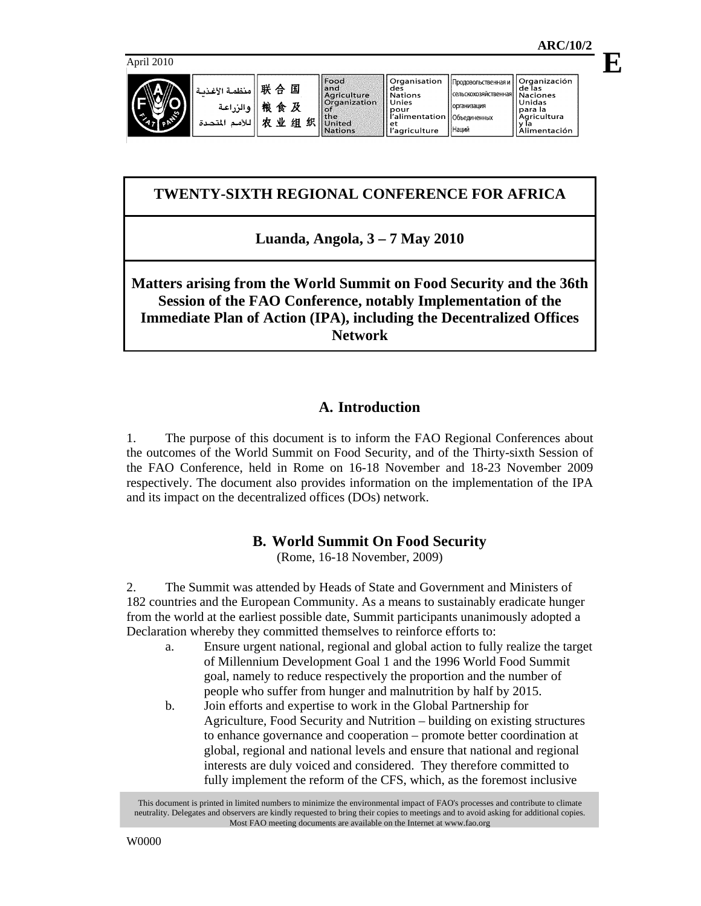**E**



| ظ 联合 هنظمة الأنثاء<br>被食 及 والزراعة<br>收 业 <mark>次</mark> 业 ⊈ |  |
|---------------------------------------------------------------|--|
|                                                               |  |

|   | and                                                             |
|---|-----------------------------------------------------------------|
| ŗ | Agricultu<br>Organiza                                           |
| Ł | the<br>组织 $\left\  \ddot{\mathbf{u}} \right\ _\mathsf{Nations}$ |

 $\|$ Food

|         | .              |
|---------|----------------|
|         | des            |
| Iture   | <b>Nations</b> |
| ization | Unies          |
|         | pour           |
|         | l'alimentation |
|         | et             |
|         | l'agriculture  |

 $\sqrt{\frac{1}{10}}$ 

|       | ae 185       |
|-------|--------------|
| ннаяІ | Naciones     |
|       | Unidas       |
|       | para la      |
|       | Agricultura  |
|       | la           |
|       | Alimentación |

Продовольственная и || Organización

**сельскохозяйстве** организация Объединенных Наций

# **TWENTY-SIXTH REGIONAL CONFERENCE FOR AFRICA**

**Luanda, Angola, 3 – 7 May 2010** 

# **Matters arising from the World Summit on Food Security and the 36th Session of the FAO Conference, notably Implementation of the Immediate Plan of Action (IPA), including the Decentralized Offices Network**

# **A. Introduction**

1. The purpose of this document is to inform the FAO Regional Conferences about the outcomes of the World Summit on Food Security, and of the Thirty-sixth Session of the FAO Conference, held in Rome on 16-18 November and 18-23 November 2009 respectively. The document also provides information on the implementation of the IPA and its impact on the decentralized offices (DOs) network.

# **B. World Summit On Food Security**

(Rome, 16-18 November, 2009)

2. The Summit was attended by Heads of State and Government and Ministers of 182 countries and the European Community. As a means to sustainably eradicate hunger from the world at the earliest possible date, Summit participants unanimously adopted a Declaration whereby they committed themselves to reinforce efforts to:

- a. Ensure urgent national, regional and global action to fully realize the target of Millennium Development Goal 1 and the 1996 World Food Summit goal, namely to reduce respectively the proportion and the number of people who suffer from hunger and malnutrition by half by 2015.
- b. Join efforts and expertise to work in the Global Partnership for Agriculture, Food Security and Nutrition – building on existing structures to enhance governance and cooperation – promote better coordination at global, regional and national levels and ensure that national and regional interests are duly voiced and considered. They therefore committed to fully implement the reform of the CFS, which, as the foremost inclusive

This document is printed in limited numbers to minimize the environmental impact of FAO's processes and contribute to climate neutrality. Delegates and observers are kindly requested to bring their copies to meetings and to avoid asking for additional copies. Most FAO meeting documents are available on the Internet at www.fao.org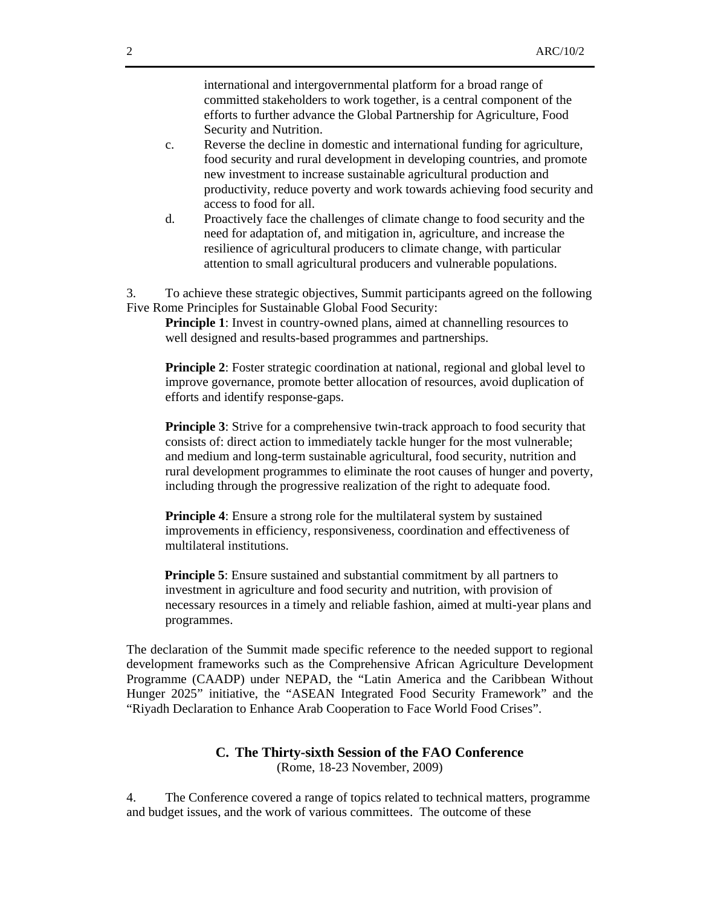international and intergovernmental platform for a broad range of committed stakeholders to work together, is a central component of the efforts to further advance the Global Partnership for Agriculture, Food Security and Nutrition.

- c. Reverse the decline in domestic and international funding for agriculture, food security and rural development in developing countries, and promote new investment to increase sustainable agricultural production and productivity, reduce poverty and work towards achieving food security and access to food for all.
- d. Proactively face the challenges of climate change to food security and the need for adaptation of, and mitigation in, agriculture, and increase the resilience of agricultural producers to climate change, with particular attention to small agricultural producers and vulnerable populations.

3. To achieve these strategic objectives, Summit participants agreed on the following Five Rome Principles for Sustainable Global Food Security:

**Principle 1**: Invest in country-owned plans, aimed at channelling resources to well designed and results-based programmes and partnerships.

**Principle 2**: Foster strategic coordination at national, regional and global level to improve governance, promote better allocation of resources, avoid duplication of efforts and identify response-gaps.

**Principle 3**: Strive for a comprehensive twin-track approach to food security that consists of: direct action to immediately tackle hunger for the most vulnerable; and medium and long-term sustainable agricultural, food security, nutrition and rural development programmes to eliminate the root causes of hunger and poverty, including through the progressive realization of the right to adequate food.

**Principle 4**: Ensure a strong role for the multilateral system by sustained improvements in efficiency, responsiveness, coordination and effectiveness of multilateral institutions.

**Principle 5**: Ensure sustained and substantial commitment by all partners to investment in agriculture and food security and nutrition, with provision of necessary resources in a timely and reliable fashion, aimed at multi-year plans and programmes.

The declaration of the Summit made specific reference to the needed support to regional development frameworks such as the Comprehensive African Agriculture Development Programme (CAADP) under NEPAD, the "Latin America and the Caribbean Without Hunger 2025" initiative, the "ASEAN Integrated Food Security Framework" and the "Riyadh Declaration to Enhance Arab Cooperation to Face World Food Crises".

### **C. The Thirty-sixth Session of the FAO Conference**  (Rome, 18-23 November, 2009)

4. The Conference covered a range of topics related to technical matters, programme and budget issues, and the work of various committees. The outcome of these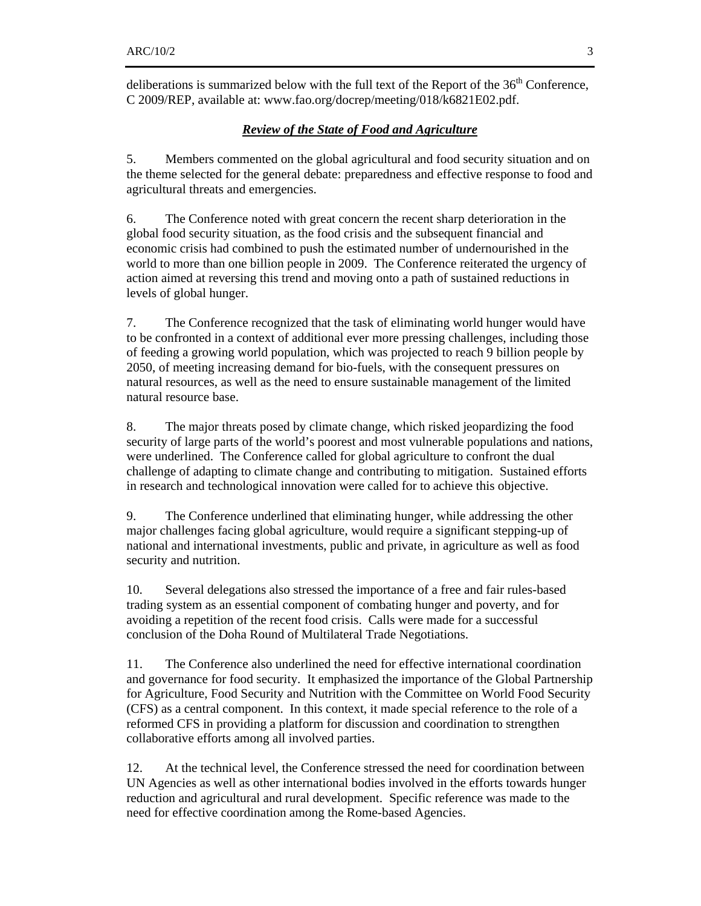deliberations is summarized below with the full text of the Report of the  $36<sup>th</sup>$  Conference, C 2009/REP, available at: www.fao.org/docrep/meeting/018/k6821E02.pdf.

## *Review of the State of Food and Agriculture*

5. Members commented on the global agricultural and food security situation and on the theme selected for the general debate: preparedness and effective response to food and agricultural threats and emergencies.

6. The Conference noted with great concern the recent sharp deterioration in the global food security situation, as the food crisis and the subsequent financial and economic crisis had combined to push the estimated number of undernourished in the world to more than one billion people in 2009. The Conference reiterated the urgency of action aimed at reversing this trend and moving onto a path of sustained reductions in levels of global hunger.

7. The Conference recognized that the task of eliminating world hunger would have to be confronted in a context of additional ever more pressing challenges, including those of feeding a growing world population, which was projected to reach 9 billion people by 2050, of meeting increasing demand for bio-fuels, with the consequent pressures on natural resources, as well as the need to ensure sustainable management of the limited natural resource base.

8. The major threats posed by climate change, which risked jeopardizing the food security of large parts of the world's poorest and most vulnerable populations and nations, were underlined. The Conference called for global agriculture to confront the dual challenge of adapting to climate change and contributing to mitigation. Sustained efforts in research and technological innovation were called for to achieve this objective.

9. The Conference underlined that eliminating hunger, while addressing the other major challenges facing global agriculture, would require a significant stepping-up of national and international investments, public and private, in agriculture as well as food security and nutrition.

10. Several delegations also stressed the importance of a free and fair rules-based trading system as an essential component of combating hunger and poverty, and for avoiding a repetition of the recent food crisis. Calls were made for a successful conclusion of the Doha Round of Multilateral Trade Negotiations.

11. The Conference also underlined the need for effective international coordination and governance for food security. It emphasized the importance of the Global Partnership for Agriculture, Food Security and Nutrition with the Committee on World Food Security (CFS) as a central component. In this context, it made special reference to the role of a reformed CFS in providing a platform for discussion and coordination to strengthen collaborative efforts among all involved parties.

12. At the technical level, the Conference stressed the need for coordination between UN Agencies as well as other international bodies involved in the efforts towards hunger reduction and agricultural and rural development. Specific reference was made to the need for effective coordination among the Rome-based Agencies.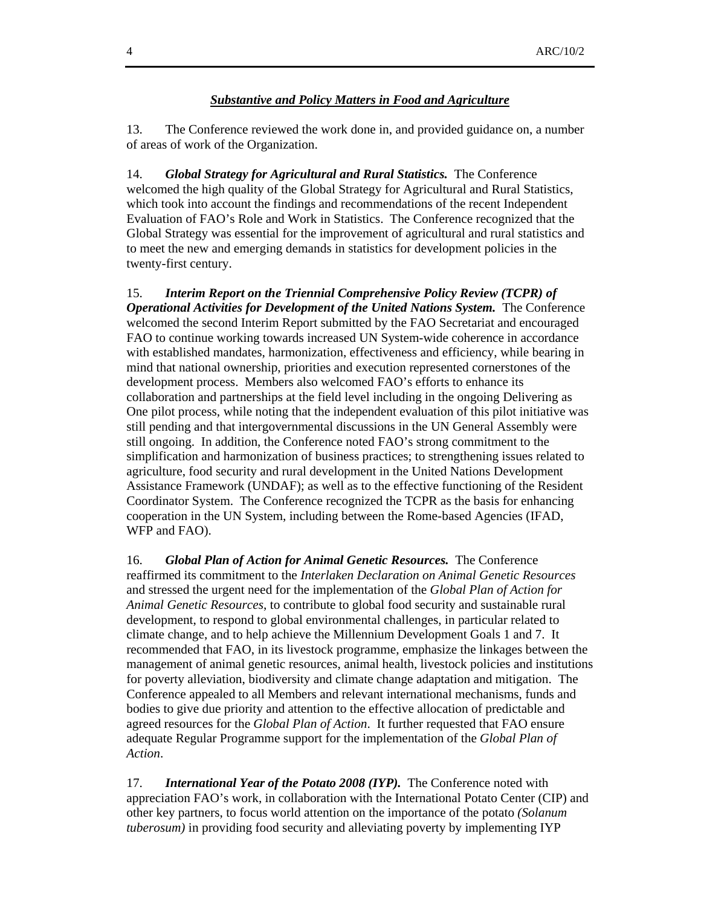#### *Substantive and Policy Matters in Food and Agriculture*

13. The Conference reviewed the work done in, and provided guidance on, a number of areas of work of the Organization.

14. *Global Strategy for Agricultural and Rural Statistics.* The Conference welcomed the high quality of the Global Strategy for Agricultural and Rural Statistics, which took into account the findings and recommendations of the recent Independent Evaluation of FAO's Role and Work in Statistics. The Conference recognized that the Global Strategy was essential for the improvement of agricultural and rural statistics and to meet the new and emerging demands in statistics for development policies in the twenty-first century.

15. *Interim Report on the Triennial Comprehensive Policy Review (TCPR) of Operational Activities for Development of the United Nations System.* The Conference welcomed the second Interim Report submitted by the FAO Secretariat and encouraged FAO to continue working towards increased UN System-wide coherence in accordance with established mandates, harmonization, effectiveness and efficiency, while bearing in mind that national ownership, priorities and execution represented cornerstones of the development process. Members also welcomed FAO's efforts to enhance its collaboration and partnerships at the field level including in the ongoing Delivering as One pilot process, while noting that the independent evaluation of this pilot initiative was still pending and that intergovernmental discussions in the UN General Assembly were still ongoing. In addition, the Conference noted FAO's strong commitment to the simplification and harmonization of business practices; to strengthening issues related to agriculture, food security and rural development in the United Nations Development Assistance Framework (UNDAF); as well as to the effective functioning of the Resident Coordinator System. The Conference recognized the TCPR as the basis for enhancing cooperation in the UN System, including between the Rome-based Agencies (IFAD, WFP and FAO).

16. *Global Plan of Action for Animal Genetic Resources.* The Conference reaffirmed its commitment to the *Interlaken Declaration on Animal Genetic Resources*  and stressed the urgent need for the implementation of the *Global Plan of Action for Animal Genetic Resources*, to contribute to global food security and sustainable rural development, to respond to global environmental challenges, in particular related to climate change, and to help achieve the Millennium Development Goals 1 and 7. It recommended that FAO, in its livestock programme, emphasize the linkages between the management of animal genetic resources, animal health, livestock policies and institutions for poverty alleviation, biodiversity and climate change adaptation and mitigation. The Conference appealed to all Members and relevant international mechanisms, funds and bodies to give due priority and attention to the effective allocation of predictable and agreed resources for the *Global Plan of Action*. It further requested that FAO ensure adequate Regular Programme support for the implementation of the *Global Plan of Action*.

17. *International Year of the Potato 2008 (IYP).* The Conference noted with appreciation FAO's work, in collaboration with the International Potato Center (CIP) and other key partners, to focus world attention on the importance of the potato *(Solanum tuberosum)* in providing food security and alleviating poverty by implementing IYP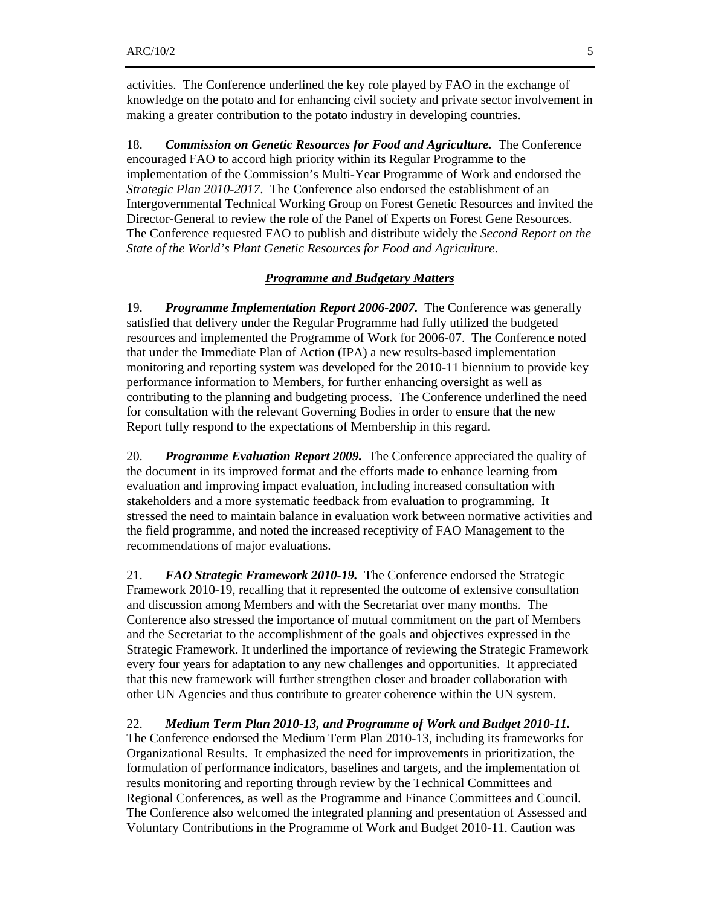activities. The Conference underlined the key role played by FAO in the exchange of knowledge on the potato and for enhancing civil society and private sector involvement in making a greater contribution to the potato industry in developing countries.

18. *Commission on Genetic Resources for Food and Agriculture.* The Conference encouraged FAO to accord high priority within its Regular Programme to the implementation of the Commission's Multi-Year Programme of Work and endorsed the *Strategic Plan 2010-2017*. The Conference also endorsed the establishment of an Intergovernmental Technical Working Group on Forest Genetic Resources and invited the Director-General to review the role of the Panel of Experts on Forest Gene Resources. The Conference requested FAO to publish and distribute widely the *Second Report on the State of the World's Plant Genetic Resources for Food and Agriculture*.

#### *Programme and Budgetary Matters*

19. *Programme Implementation Report 2006-2007.* The Conference was generally satisfied that delivery under the Regular Programme had fully utilized the budgeted resources and implemented the Programme of Work for 2006-07. The Conference noted that under the Immediate Plan of Action (IPA) a new results-based implementation monitoring and reporting system was developed for the 2010-11 biennium to provide key performance information to Members, for further enhancing oversight as well as contributing to the planning and budgeting process. The Conference underlined the need for consultation with the relevant Governing Bodies in order to ensure that the new Report fully respond to the expectations of Membership in this regard.

20. *Programme Evaluation Report 2009.* The Conference appreciated the quality of the document in its improved format and the efforts made to enhance learning from evaluation and improving impact evaluation, including increased consultation with stakeholders and a more systematic feedback from evaluation to programming. It stressed the need to maintain balance in evaluation work between normative activities and the field programme, and noted the increased receptivity of FAO Management to the recommendations of major evaluations.

21. *FAO Strategic Framework 2010-19.* The Conference endorsed the Strategic Framework 2010-19, recalling that it represented the outcome of extensive consultation and discussion among Members and with the Secretariat over many months. The Conference also stressed the importance of mutual commitment on the part of Members and the Secretariat to the accomplishment of the goals and objectives expressed in the Strategic Framework. It underlined the importance of reviewing the Strategic Framework every four years for adaptation to any new challenges and opportunities. It appreciated that this new framework will further strengthen closer and broader collaboration with other UN Agencies and thus contribute to greater coherence within the UN system.

#### 22. *Medium Term Plan 2010-13, and Programme of Work and Budget 2010-11.*

The Conference endorsed the Medium Term Plan 2010-13, including its frameworks for Organizational Results. It emphasized the need for improvements in prioritization, the formulation of performance indicators, baselines and targets, and the implementation of results monitoring and reporting through review by the Technical Committees and Regional Conferences, as well as the Programme and Finance Committees and Council. The Conference also welcomed the integrated planning and presentation of Assessed and Voluntary Contributions in the Programme of Work and Budget 2010-11. Caution was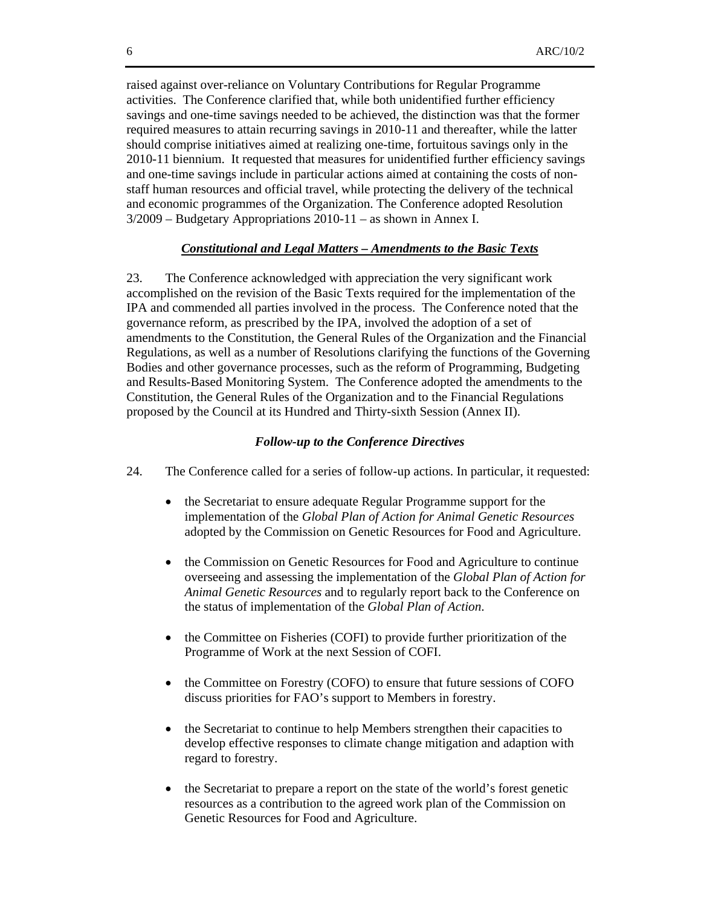raised against over-reliance on Voluntary Contributions for Regular Programme activities. The Conference clarified that, while both unidentified further efficiency savings and one-time savings needed to be achieved, the distinction was that the former required measures to attain recurring savings in 2010-11 and thereafter, while the latter should comprise initiatives aimed at realizing one-time, fortuitous savings only in the 2010-11 biennium. It requested that measures for unidentified further efficiency savings and one-time savings include in particular actions aimed at containing the costs of nonstaff human resources and official travel, while protecting the delivery of the technical and economic programmes of the Organization. The Conference adopted Resolution 3/2009 – Budgetary Appropriations 2010-11 – as shown in Annex I.

#### *Constitutional and Legal Matters – Amendments to the Basic Texts*

23. The Conference acknowledged with appreciation the very significant work accomplished on the revision of the Basic Texts required for the implementation of the IPA and commended all parties involved in the process. The Conference noted that the governance reform, as prescribed by the IPA, involved the adoption of a set of amendments to the Constitution, the General Rules of the Organization and the Financial Regulations, as well as a number of Resolutions clarifying the functions of the Governing Bodies and other governance processes, such as the reform of Programming, Budgeting and Results-Based Monitoring System. The Conference adopted the amendments to the Constitution, the General Rules of the Organization and to the Financial Regulations proposed by the Council at its Hundred and Thirty-sixth Session (Annex II).

#### *Follow-up to the Conference Directives*

- 24. The Conference called for a series of follow-up actions. In particular, it requested:
	- the Secretariat to ensure adequate Regular Programme support for the implementation of the *Global Plan of Action for Animal Genetic Resources* adopted by the Commission on Genetic Resources for Food and Agriculture.
	- the Commission on Genetic Resources for Food and Agriculture to continue overseeing and assessing the implementation of the *Global Plan of Action for Animal Genetic Resources* and to regularly report back to the Conference on the status of implementation of the *Global Plan of Action*.
	- the Committee on Fisheries (COFI) to provide further prioritization of the Programme of Work at the next Session of COFI.
	- the Committee on Forestry (COFO) to ensure that future sessions of COFO discuss priorities for FAO's support to Members in forestry.
	- the Secretariat to continue to help Members strengthen their capacities to develop effective responses to climate change mitigation and adaption with regard to forestry.
	- the Secretariat to prepare a report on the state of the world's forest genetic resources as a contribution to the agreed work plan of the Commission on Genetic Resources for Food and Agriculture.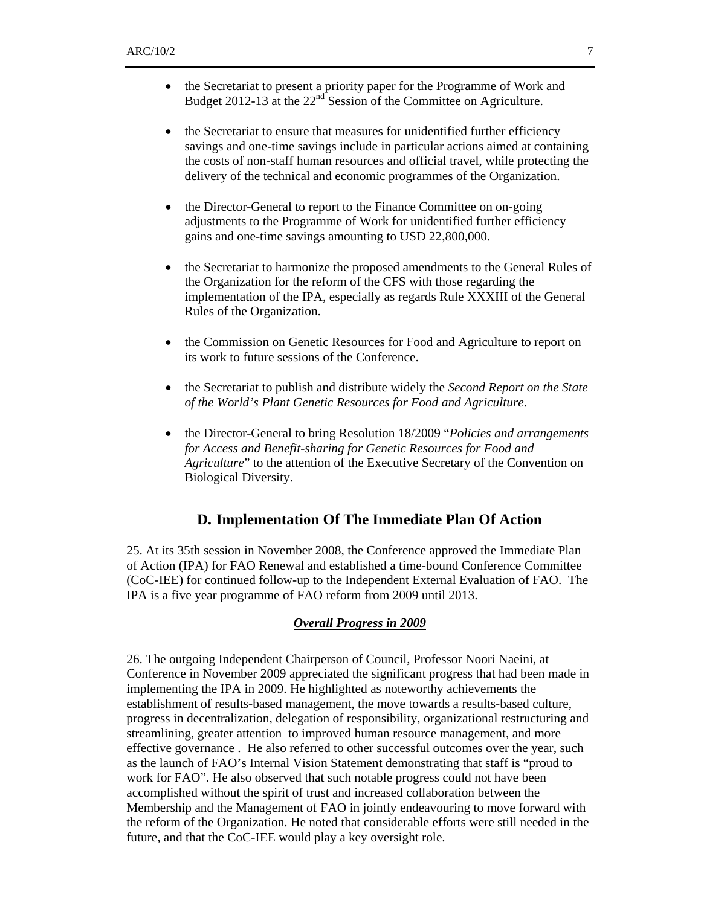- the Secretariat to present a priority paper for the Programme of Work and Budget 2012-13 at the  $22<sup>nd</sup>$  Session of the Committee on Agriculture.
- the Secretariat to ensure that measures for unidentified further efficiency savings and one-time savings include in particular actions aimed at containing the costs of non-staff human resources and official travel, while protecting the delivery of the technical and economic programmes of the Organization.
- the Director-General to report to the Finance Committee on on-going adjustments to the Programme of Work for unidentified further efficiency gains and one-time savings amounting to USD 22,800,000.
- the Secretariat to harmonize the proposed amendments to the General Rules of the Organization for the reform of the CFS with those regarding the implementation of the IPA, especially as regards Rule XXXIII of the General Rules of the Organization.
- the Commission on Genetic Resources for Food and Agriculture to report on its work to future sessions of the Conference.
- the Secretariat to publish and distribute widely the *Second Report on the State of the World's Plant Genetic Resources for Food and Agriculture*.
- the Director-General to bring Resolution 18/2009 "*Policies and arrangements for Access and Benefit-sharing for Genetic Resources for Food and Agriculture*" to the attention of the Executive Secretary of the Convention on Biological Diversity.

## **D. Implementation Of The Immediate Plan Of Action**

25. At its 35th session in November 2008, the Conference approved the Immediate Plan of Action (IPA) for FAO Renewal and established a time-bound Conference Committee (CoC-IEE) for continued follow-up to the Independent External Evaluation of FAO. The IPA is a five year programme of FAO reform from 2009 until 2013.

## *Overall Progress in 2009*

26. The outgoing Independent Chairperson of Council, Professor Noori Naeini, at Conference in November 2009 appreciated the significant progress that had been made in implementing the IPA in 2009. He highlighted as noteworthy achievements the establishment of results-based management, the move towards a results-based culture, progress in decentralization, delegation of responsibility, organizational restructuring and streamlining, greater attention to improved human resource management, and more effective governance . He also referred to other successful outcomes over the year, such as the launch of FAO's Internal Vision Statement demonstrating that staff is "proud to work for FAO". He also observed that such notable progress could not have been accomplished without the spirit of trust and increased collaboration between the Membership and the Management of FAO in jointly endeavouring to move forward with the reform of the Organization. He noted that considerable efforts were still needed in the future, and that the CoC-IEE would play a key oversight role.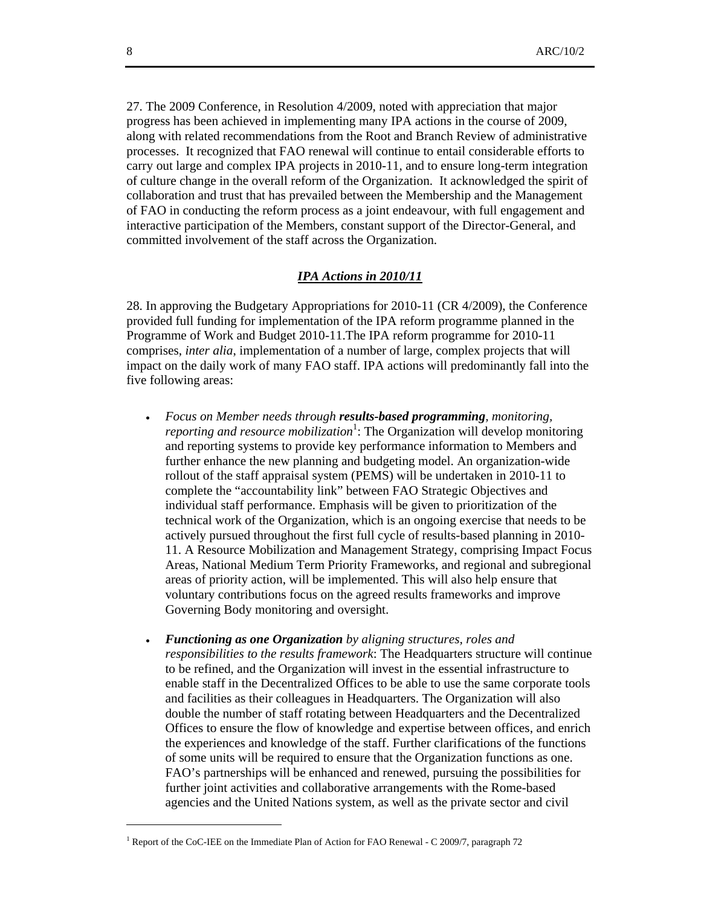27. The 2009 Conference, in Resolution 4/2009, noted with appreciation that major progress has been achieved in implementing many IPA actions in the course of 2009, along with related recommendations from the Root and Branch Review of administrative processes. It recognized that FAO renewal will continue to entail considerable efforts to carry out large and complex IPA projects in 2010-11, and to ensure long-term integration of culture change in the overall reform of the Organization. It acknowledged the spirit of collaboration and trust that has prevailed between the Membership and the Management of FAO in conducting the reform process as a joint endeavour, with full engagement and interactive participation of the Members, constant support of the Director-General, and committed involvement of the staff across the Organization.

## *IPA Actions in 2010/11*

28. In approving the Budgetary Appropriations for 2010-11 (CR 4/2009), the Conference provided full funding for implementation of the IPA reform programme planned in the Programme of Work and Budget 2010-11.The IPA reform programme for 2010-11 comprises, *inter alia*, implementation of a number of large, complex projects that will impact on the daily work of many FAO staff. IPA actions will predominantly fall into the five following areas:

- *Focus on Member needs through results-based programming, monitoring,*  reporting and resource mobilization<sup>1</sup>: The Organization will develop monitoring and reporting systems to provide key performance information to Members and further enhance the new planning and budgeting model. An organization-wide rollout of the staff appraisal system (PEMS) will be undertaken in 2010-11 to complete the "accountability link" between FAO Strategic Objectives and individual staff performance. Emphasis will be given to prioritization of the technical work of the Organization, which is an ongoing exercise that needs to be actively pursued throughout the first full cycle of results-based planning in 2010- 11. A Resource Mobilization and Management Strategy, comprising Impact Focus Areas, National Medium Term Priority Frameworks, and regional and subregional areas of priority action, will be implemented. This will also help ensure that voluntary contributions focus on the agreed results frameworks and improve Governing Body monitoring and oversight.
- *Functioning as one Organization by aligning structures, roles and responsibilities to the results framework*: The Headquarters structure will continue to be refined, and the Organization will invest in the essential infrastructure to enable staff in the Decentralized Offices to be able to use the same corporate tools and facilities as their colleagues in Headquarters. The Organization will also double the number of staff rotating between Headquarters and the Decentralized Offices to ensure the flow of knowledge and expertise between offices, and enrich the experiences and knowledge of the staff. Further clarifications of the functions of some units will be required to ensure that the Organization functions as one. FAO's partnerships will be enhanced and renewed, pursuing the possibilities for further joint activities and collaborative arrangements with the Rome-based agencies and the United Nations system, as well as the private sector and civil

l

<sup>&</sup>lt;sup>1</sup> Report of the CoC-IEE on the Immediate Plan of Action for FAO Renewal - C 2009/7, paragraph 72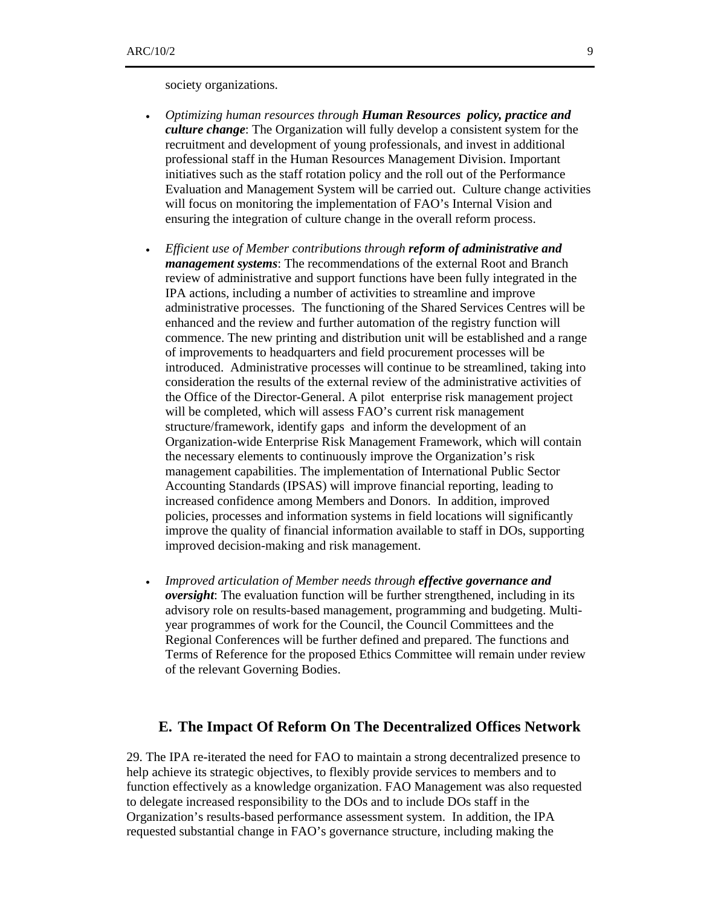society organizations.

- *Optimizing human resources through Human Resources policy, practice and culture change*: The Organization will fully develop a consistent system for the recruitment and development of young professionals, and invest in additional professional staff in the Human Resources Management Division. Important initiatives such as the staff rotation policy and the roll out of the Performance Evaluation and Management System will be carried out. Culture change activities will focus on monitoring the implementation of FAO's Internal Vision and ensuring the integration of culture change in the overall reform process.
- *Efficient use of Member contributions through reform of administrative and management systems*: The recommendations of the external Root and Branch review of administrative and support functions have been fully integrated in the IPA actions, including a number of activities to streamline and improve administrative processes. The functioning of the Shared Services Centres will be enhanced and the review and further automation of the registry function will commence. The new printing and distribution unit will be established and a range of improvements to headquarters and field procurement processes will be introduced. Administrative processes will continue to be streamlined, taking into consideration the results of the external review of the administrative activities of the Office of the Director-General. A pilot enterprise risk management project will be completed, which will assess FAO's current risk management structure/framework, identify gaps and inform the development of an Organization-wide Enterprise Risk Management Framework, which will contain the necessary elements to continuously improve the Organization's risk management capabilities. The implementation of International Public Sector Accounting Standards (IPSAS) will improve financial reporting, leading to increased confidence among Members and Donors. In addition, improved policies, processes and information systems in field locations will significantly improve the quality of financial information available to staff in DOs, supporting improved decision-making and risk management.
- *Improved articulation of Member needs through effective governance and oversight*: The evaluation function will be further strengthened, including in its advisory role on results-based management, programming and budgeting. Multiyear programmes of work for the Council, the Council Committees and the Regional Conferences will be further defined and prepared. The functions and Terms of Reference for the proposed Ethics Committee will remain under review of the relevant Governing Bodies.

### **E. The Impact Of Reform On The Decentralized Offices Network**

29. The IPA re-iterated the need for FAO to maintain a strong decentralized presence to help achieve its strategic objectives, to flexibly provide services to members and to function effectively as a knowledge organization. FAO Management was also requested to delegate increased responsibility to the DOs and to include DOs staff in the Organization's results-based performance assessment system. In addition, the IPA requested substantial change in FAO's governance structure, including making the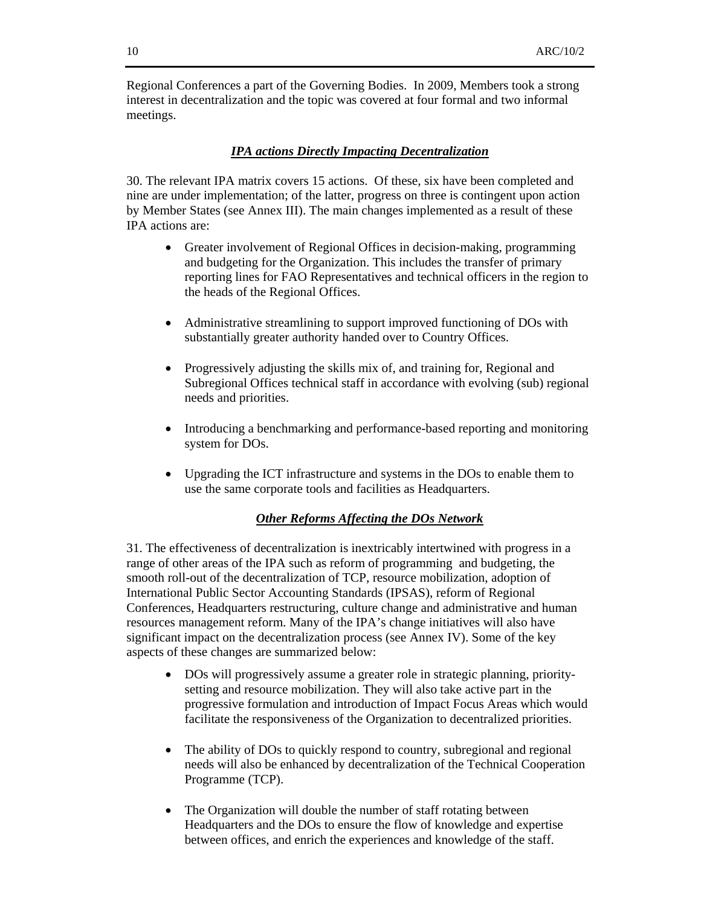Regional Conferences a part of the Governing Bodies. In 2009, Members took a strong interest in decentralization and the topic was covered at four formal and two informal meetings.

#### *IPA actions Directly Impacting Decentralization*

30. The relevant IPA matrix covers 15 actions. Of these, six have been completed and nine are under implementation; of the latter, progress on three is contingent upon action by Member States (see Annex III). The main changes implemented as a result of these IPA actions are:

- Greater involvement of Regional Offices in decision-making, programming and budgeting for the Organization. This includes the transfer of primary reporting lines for FAO Representatives and technical officers in the region to the heads of the Regional Offices.
- Administrative streamlining to support improved functioning of DOs with substantially greater authority handed over to Country Offices.
- Progressively adjusting the skills mix of, and training for, Regional and Subregional Offices technical staff in accordance with evolving (sub) regional needs and priorities.
- Introducing a benchmarking and performance-based reporting and monitoring system for DOs.
- Upgrading the ICT infrastructure and systems in the DOs to enable them to use the same corporate tools and facilities as Headquarters.

## *Other Reforms Affecting the DOs Network*

31. The effectiveness of decentralization is inextricably intertwined with progress in a range of other areas of the IPA such as reform of programming and budgeting, the smooth roll-out of the decentralization of TCP, resource mobilization, adoption of International Public Sector Accounting Standards (IPSAS), reform of Regional Conferences, Headquarters restructuring, culture change and administrative and human resources management reform. Many of the IPA's change initiatives will also have significant impact on the decentralization process (see Annex IV). Some of the key aspects of these changes are summarized below:

- DOs will progressively assume a greater role in strategic planning, prioritysetting and resource mobilization. They will also take active part in the progressive formulation and introduction of Impact Focus Areas which would facilitate the responsiveness of the Organization to decentralized priorities.
- The ability of DOs to quickly respond to country, subregional and regional needs will also be enhanced by decentralization of the Technical Cooperation Programme (TCP).
- The Organization will double the number of staff rotating between Headquarters and the DOs to ensure the flow of knowledge and expertise between offices, and enrich the experiences and knowledge of the staff.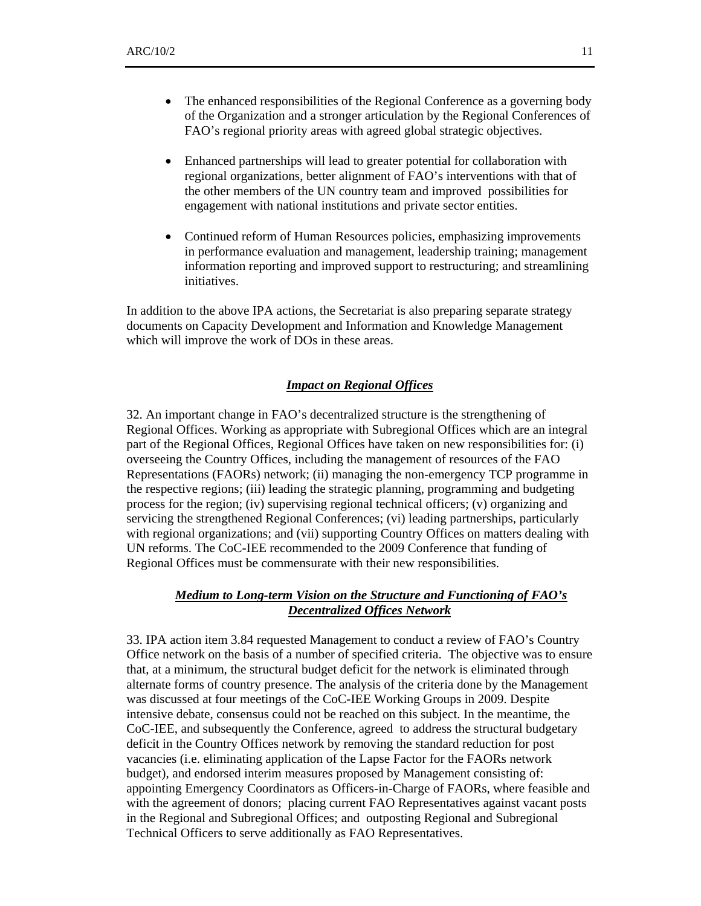- The enhanced responsibilities of the Regional Conference as a governing body of the Organization and a stronger articulation by the Regional Conferences of FAO's regional priority areas with agreed global strategic objectives.
- Enhanced partnerships will lead to greater potential for collaboration with regional organizations, better alignment of FAO's interventions with that of the other members of the UN country team and improved possibilities for engagement with national institutions and private sector entities.
- Continued reform of Human Resources policies, emphasizing improvements in performance evaluation and management, leadership training; management information reporting and improved support to restructuring; and streamlining initiatives.

In addition to the above IPA actions, the Secretariat is also preparing separate strategy documents on Capacity Development and Information and Knowledge Management which will improve the work of DOs in these areas.

#### *Impact on Regional Offices*

32. An important change in FAO's decentralized structure is the strengthening of Regional Offices. Working as appropriate with Subregional Offices which are an integral part of the Regional Offices, Regional Offices have taken on new responsibilities for: (i) overseeing the Country Offices, including the management of resources of the FAO Representations (FAORs) network; (ii) managing the non-emergency TCP programme in the respective regions; (iii) leading the strategic planning, programming and budgeting process for the region; (iv) supervising regional technical officers; (v) organizing and servicing the strengthened Regional Conferences; (vi) leading partnerships, particularly with regional organizations; and (vii) supporting Country Offices on matters dealing with UN reforms. The CoC-IEE recommended to the 2009 Conference that funding of Regional Offices must be commensurate with their new responsibilities.

### *Medium to Long-term Vision on the Structure and Functioning of FAO's Decentralized Offices Network*

33. IPA action item 3.84 requested Management to conduct a review of FAO's Country Office network on the basis of a number of specified criteria. The objective was to ensure that, at a minimum, the structural budget deficit for the network is eliminated through alternate forms of country presence. The analysis of the criteria done by the Management was discussed at four meetings of the CoC-IEE Working Groups in 2009. Despite intensive debate, consensus could not be reached on this subject. In the meantime, the CoC-IEE, and subsequently the Conference, agreed to address the structural budgetary deficit in the Country Offices network by removing the standard reduction for post vacancies (i.e. eliminating application of the Lapse Factor for the FAORs network budget), and endorsed interim measures proposed by Management consisting of: appointing Emergency Coordinators as Officers-in-Charge of FAORs, where feasible and with the agreement of donors; placing current FAO Representatives against vacant posts in the Regional and Subregional Offices; and outposting Regional and Subregional Technical Officers to serve additionally as FAO Representatives.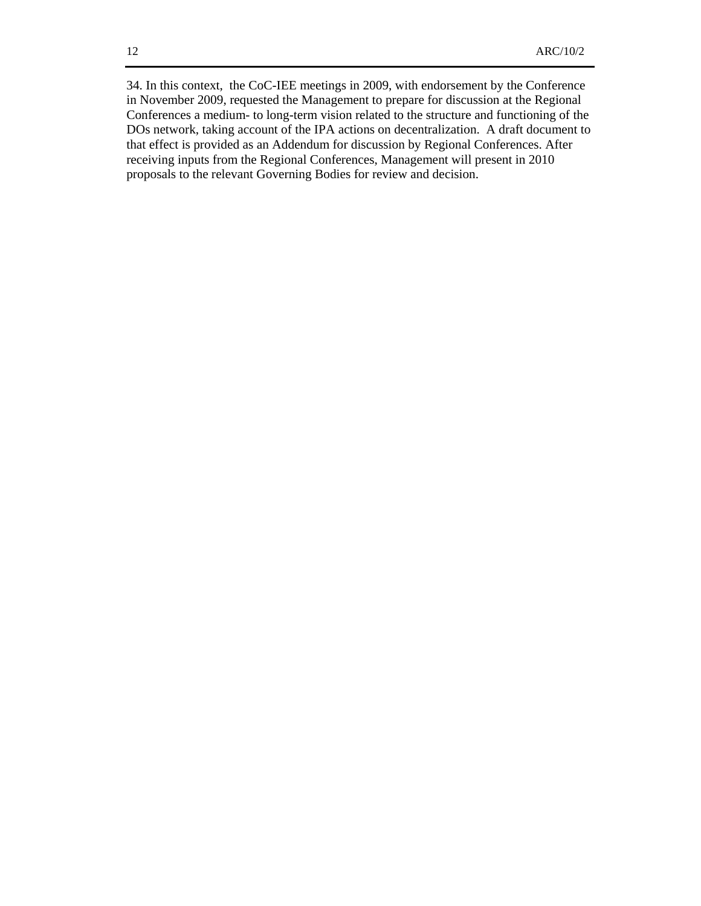34. In this context, the CoC-IEE meetings in 2009, with endorsement by the Conference in November 2009, requested the Management to prepare for discussion at the Regional Conferences a medium- to long-term vision related to the structure and functioning of the DOs network, taking account of the IPA actions on decentralization. A draft document to that effect is provided as an Addendum for discussion by Regional Conferences. After receiving inputs from the Regional Conferences, Management will present in 2010 proposals to the relevant Governing Bodies for review and decision.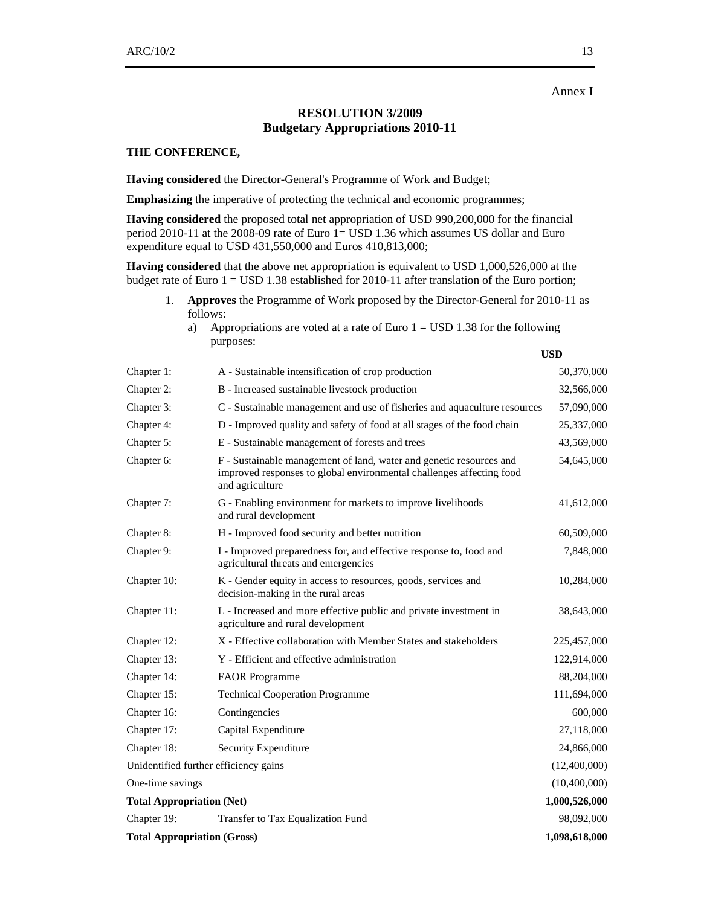Annex I

## **RESOLUTION 3/2009 Budgetary Appropriations 2010-11**

#### **THE CONFERENCE,**

**Having considered** the Director-General's Programme of Work and Budget;

**Emphasizing** the imperative of protecting the technical and economic programmes;

**Having considered** the proposed total net appropriation of USD 990,200,000 for the financial period 2010-11 at the 2008-09 rate of Euro 1= USD 1.36 which assumes US dollar and Euro expenditure equal to USD 431,550,000 and Euros 410,813,000;

**Having considered** that the above net appropriation is equivalent to USD 1,000,526,000 at the budget rate of Euro 1 = USD 1.38 established for 2010-11 after translation of the Euro portion;

- 1. **Approves** the Programme of Work proposed by the Director-General for 2010-11 as follows:
	- a) Appropriations are voted at a rate of Euro  $1 =$  USD 1.38 for the following purposes:

**USD** 

| Chapter 1:                            | A - Sustainable intensification of crop production                                                                                                             | 50,370,000    |  |
|---------------------------------------|----------------------------------------------------------------------------------------------------------------------------------------------------------------|---------------|--|
| Chapter 2:                            | B - Increased sustainable livestock production                                                                                                                 | 32,566,000    |  |
| Chapter 3:                            | C - Sustainable management and use of fisheries and aquaculture resources                                                                                      | 57,090,000    |  |
| Chapter 4:                            | D - Improved quality and safety of food at all stages of the food chain                                                                                        | 25,337,000    |  |
| Chapter 5:                            | E - Sustainable management of forests and trees                                                                                                                | 43,569,000    |  |
| Chapter 6:                            | F - Sustainable management of land, water and genetic resources and<br>improved responses to global environmental challenges affecting food<br>and agriculture | 54,645,000    |  |
| Chapter 7:                            | G - Enabling environment for markets to improve livelihoods<br>and rural development                                                                           | 41,612,000    |  |
| Chapter 8:                            | H - Improved food security and better nutrition                                                                                                                | 60,509,000    |  |
| Chapter 9:                            | I - Improved preparedness for, and effective response to, food and<br>agricultural threats and emergencies                                                     | 7,848,000     |  |
| Chapter 10:                           | K - Gender equity in access to resources, goods, services and<br>decision-making in the rural areas                                                            | 10,284,000    |  |
| Chapter 11:                           | L - Increased and more effective public and private investment in<br>agriculture and rural development                                                         | 38,643,000    |  |
| Chapter 12:                           | X - Effective collaboration with Member States and stakeholders                                                                                                | 225,457,000   |  |
| Chapter 13:                           | Y - Efficient and effective administration                                                                                                                     | 122,914,000   |  |
| Chapter 14:                           | <b>FAOR Programme</b>                                                                                                                                          | 88,204,000    |  |
| Chapter 15:                           | <b>Technical Cooperation Programme</b>                                                                                                                         | 111,694,000   |  |
| Chapter 16:                           | Contingencies                                                                                                                                                  | 600,000       |  |
| Chapter 17:                           | Capital Expenditure                                                                                                                                            | 27,118,000    |  |
| Chapter 18:                           | Security Expenditure                                                                                                                                           | 24,866,000    |  |
| Unidentified further efficiency gains |                                                                                                                                                                | (12,400,000)  |  |
| One-time savings                      |                                                                                                                                                                | (10,400,000)  |  |
| <b>Total Appropriation (Net)</b>      |                                                                                                                                                                | 1,000,526,000 |  |
| Chapter 19:                           | Transfer to Tax Equalization Fund                                                                                                                              | 98,092,000    |  |
|                                       | <b>Total Appropriation (Gross)</b><br>1,098,618,000                                                                                                            |               |  |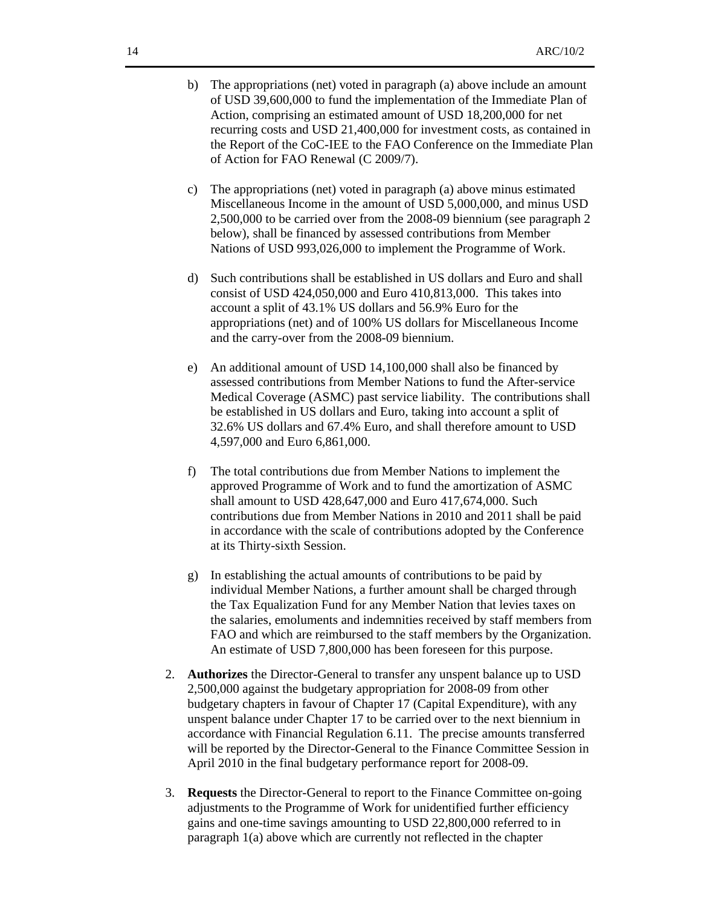- b) The appropriations (net) voted in paragraph (a) above include an amount of USD 39,600,000 to fund the implementation of the Immediate Plan of Action, comprising an estimated amount of USD 18,200,000 for net recurring costs and USD 21,400,000 for investment costs, as contained in the Report of the CoC-IEE to the FAO Conference on the Immediate Plan of Action for FAO Renewal (C 2009/7).
- c) The appropriations (net) voted in paragraph (a) above minus estimated Miscellaneous Income in the amount of USD 5,000,000, and minus USD 2,500,000 to be carried over from the 2008-09 biennium (see paragraph 2 below), shall be financed by assessed contributions from Member Nations of USD 993,026,000 to implement the Programme of Work.
- d) Such contributions shall be established in US dollars and Euro and shall consist of USD 424,050,000 and Euro 410,813,000. This takes into account a split of 43.1% US dollars and 56.9% Euro for the appropriations (net) and of 100% US dollars for Miscellaneous Income and the carry-over from the 2008-09 biennium.
- e) An additional amount of USD 14,100,000 shall also be financed by assessed contributions from Member Nations to fund the After-service Medical Coverage (ASMC) past service liability. The contributions shall be established in US dollars and Euro, taking into account a split of 32.6% US dollars and 67.4% Euro, and shall therefore amount to USD 4,597,000 and Euro 6,861,000.
- f) The total contributions due from Member Nations to implement the approved Programme of Work and to fund the amortization of ASMC shall amount to USD 428,647,000 and Euro 417,674,000. Such contributions due from Member Nations in 2010 and 2011 shall be paid in accordance with the scale of contributions adopted by the Conference at its Thirty-sixth Session.
- g) In establishing the actual amounts of contributions to be paid by individual Member Nations, a further amount shall be charged through the Tax Equalization Fund for any Member Nation that levies taxes on the salaries, emoluments and indemnities received by staff members from FAO and which are reimbursed to the staff members by the Organization. An estimate of USD 7,800,000 has been foreseen for this purpose.
- 2. **Authorizes** the Director-General to transfer any unspent balance up to USD 2,500,000 against the budgetary appropriation for 2008-09 from other budgetary chapters in favour of Chapter 17 (Capital Expenditure), with any unspent balance under Chapter 17 to be carried over to the next biennium in accordance with Financial Regulation 6.11. The precise amounts transferred will be reported by the Director-General to the Finance Committee Session in April 2010 in the final budgetary performance report for 2008-09.
- 3. **Requests** the Director-General to report to the Finance Committee on-going adjustments to the Programme of Work for unidentified further efficiency gains and one-time savings amounting to USD 22,800,000 referred to in paragraph 1(a) above which are currently not reflected in the chapter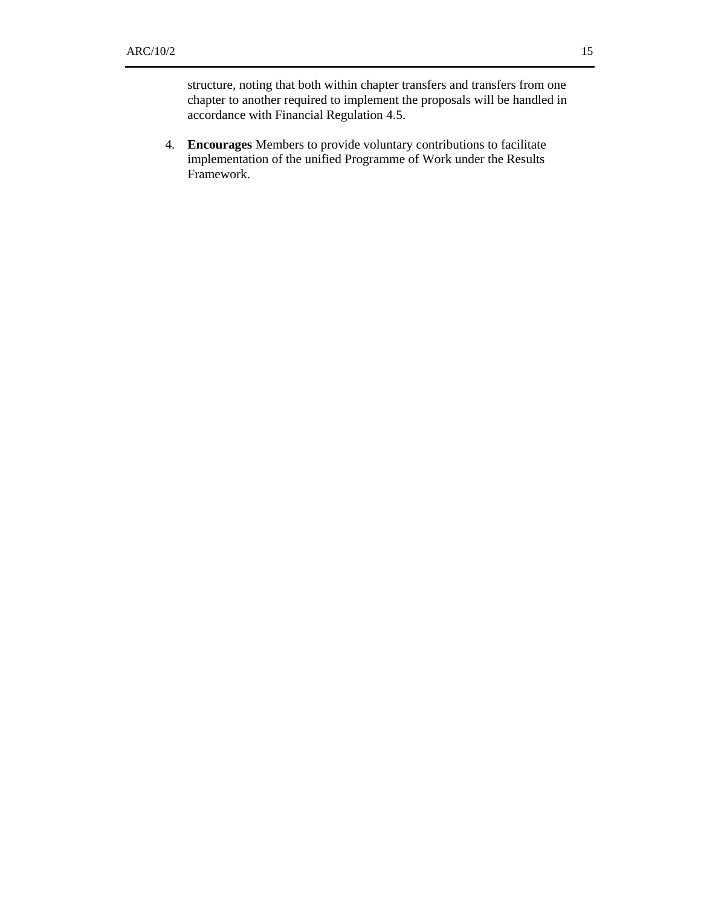structure, noting that both within chapter transfers and transfers from one chapter to another required to implement the proposals will be handled in accordance with Financial Regulation 4.5.

4. **Encourages** Members to provide voluntary contributions to facilitate implementation of the unified Programme of Work under the Results Framework.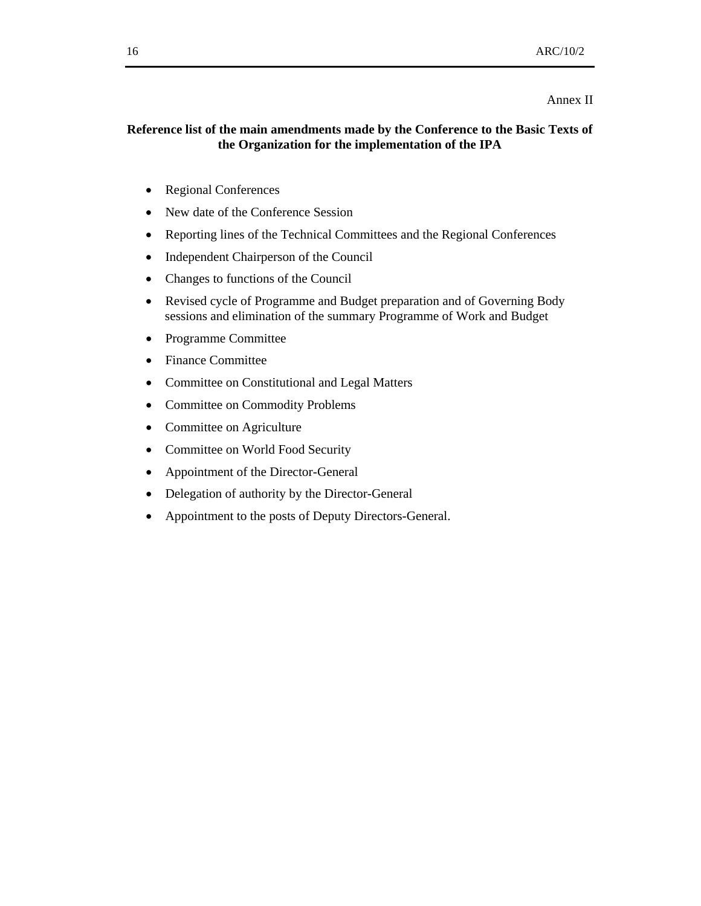#### Annex II

## **Reference list of the main amendments made by the Conference to the Basic Texts of the Organization for the implementation of the IPA**

- Regional Conferences
- New date of the Conference Session
- Reporting lines of the Technical Committees and the Regional Conferences
- Independent Chairperson of the Council
- Changes to functions of the Council
- Revised cycle of Programme and Budget preparation and of Governing Body sessions and elimination of the summary Programme of Work and Budget
- Programme Committee
- Finance Committee
- Committee on Constitutional and Legal Matters
- Committee on Commodity Problems
- Committee on Agriculture
- Committee on World Food Security
- Appointment of the Director-General
- Delegation of authority by the Director-General
- Appointment to the posts of Deputy Directors-General.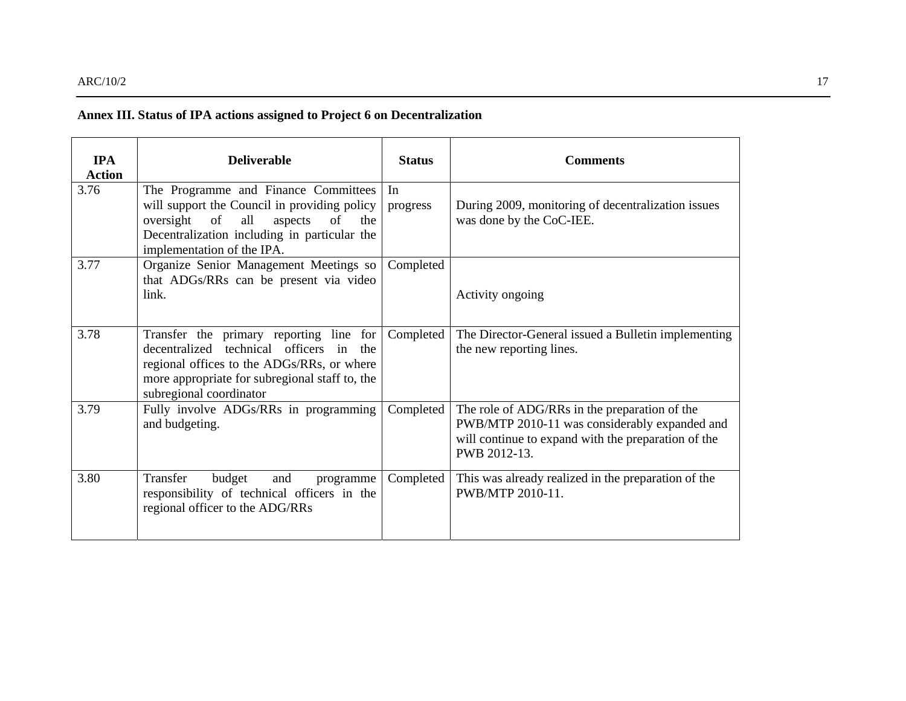## **Annex III. Status of IPA actions assigned to Project 6 on Decentralization**

| <b>IPA</b><br><b>Action</b> | <b>Deliverable</b>                                                                                                                                                                                                | <b>Status</b>  | <b>Comments</b>                                                                                                                                                       |
|-----------------------------|-------------------------------------------------------------------------------------------------------------------------------------------------------------------------------------------------------------------|----------------|-----------------------------------------------------------------------------------------------------------------------------------------------------------------------|
| 3.76                        | The Programme and Finance Committees<br>will support the Council in providing policy<br>oversight of<br>all<br>aspects<br>of<br>the<br>Decentralization including in particular the<br>implementation of the IPA. | In<br>progress | During 2009, monitoring of decentralization issues<br>was done by the CoC-IEE.                                                                                        |
| 3.77                        | Organize Senior Management Meetings so<br>that ADGs/RRs can be present via video<br>link.                                                                                                                         | Completed      | Activity ongoing                                                                                                                                                      |
| 3.78                        | Transfer the primary reporting line for<br>decentralized technical officers in the<br>regional offices to the ADGs/RRs, or where<br>more appropriate for subregional staff to, the<br>subregional coordinator     | Completed      | The Director-General issued a Bulletin implementing<br>the new reporting lines.                                                                                       |
| 3.79                        | Fully involve ADGs/RRs in programming<br>and budgeting.                                                                                                                                                           | Completed      | The role of ADG/RRs in the preparation of the<br>PWB/MTP 2010-11 was considerably expanded and<br>will continue to expand with the preparation of the<br>PWB 2012-13. |
| 3.80                        | Transfer<br>budget<br>and<br>programme<br>responsibility of technical officers in the<br>regional officer to the ADG/RRs                                                                                          | Completed      | This was already realized in the preparation of the<br>PWB/MTP 2010-11.                                                                                               |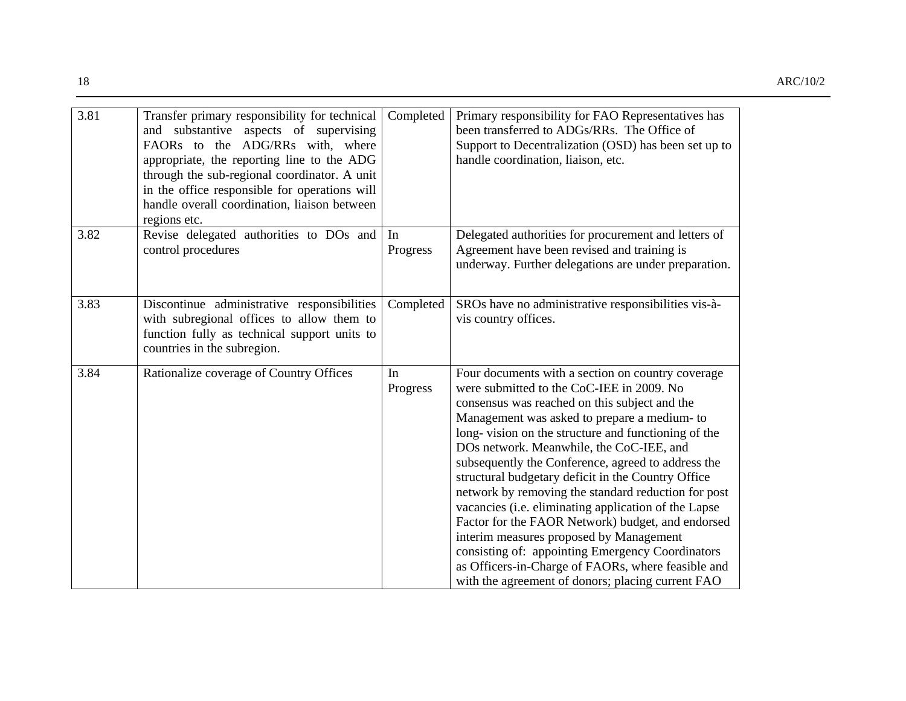| 3.81 | Transfer primary responsibility for technical<br>and substantive aspects of supervising<br>FAORs to the ADG/RRs with, where<br>appropriate, the reporting line to the ADG<br>through the sub-regional coordinator. A unit<br>in the office responsible for operations will<br>handle overall coordination, liaison between<br>regions etc. | Completed      | Primary responsibility for FAO Representatives has<br>been transferred to ADGs/RRs. The Office of<br>Support to Decentralization (OSD) has been set up to<br>handle coordination, liaison, etc.                                                                                                                                                                                                                                                                                                                                                                                                                                                                                                                                                                                              |
|------|--------------------------------------------------------------------------------------------------------------------------------------------------------------------------------------------------------------------------------------------------------------------------------------------------------------------------------------------|----------------|----------------------------------------------------------------------------------------------------------------------------------------------------------------------------------------------------------------------------------------------------------------------------------------------------------------------------------------------------------------------------------------------------------------------------------------------------------------------------------------------------------------------------------------------------------------------------------------------------------------------------------------------------------------------------------------------------------------------------------------------------------------------------------------------|
| 3.82 | Revise delegated authorities to DOs and<br>control procedures                                                                                                                                                                                                                                                                              | In<br>Progress | Delegated authorities for procurement and letters of<br>Agreement have been revised and training is<br>underway. Further delegations are under preparation.                                                                                                                                                                                                                                                                                                                                                                                                                                                                                                                                                                                                                                  |
| 3.83 | Discontinue administrative responsibilities<br>with subregional offices to allow them to<br>function fully as technical support units to<br>countries in the subregion.                                                                                                                                                                    | Completed      | SROs have no administrative responsibilities vis-à-<br>vis country offices.                                                                                                                                                                                                                                                                                                                                                                                                                                                                                                                                                                                                                                                                                                                  |
| 3.84 | Rationalize coverage of Country Offices                                                                                                                                                                                                                                                                                                    | In<br>Progress | Four documents with a section on country coverage<br>were submitted to the CoC-IEE in 2009. No<br>consensus was reached on this subject and the<br>Management was asked to prepare a medium- to<br>long-vision on the structure and functioning of the<br>DOs network. Meanwhile, the CoC-IEE, and<br>subsequently the Conference, agreed to address the<br>structural budgetary deficit in the Country Office<br>network by removing the standard reduction for post<br>vacancies (i.e. eliminating application of the Lapse<br>Factor for the FAOR Network) budget, and endorsed<br>interim measures proposed by Management<br>consisting of: appointing Emergency Coordinators<br>as Officers-in-Charge of FAORs, where feasible and<br>with the agreement of donors; placing current FAO |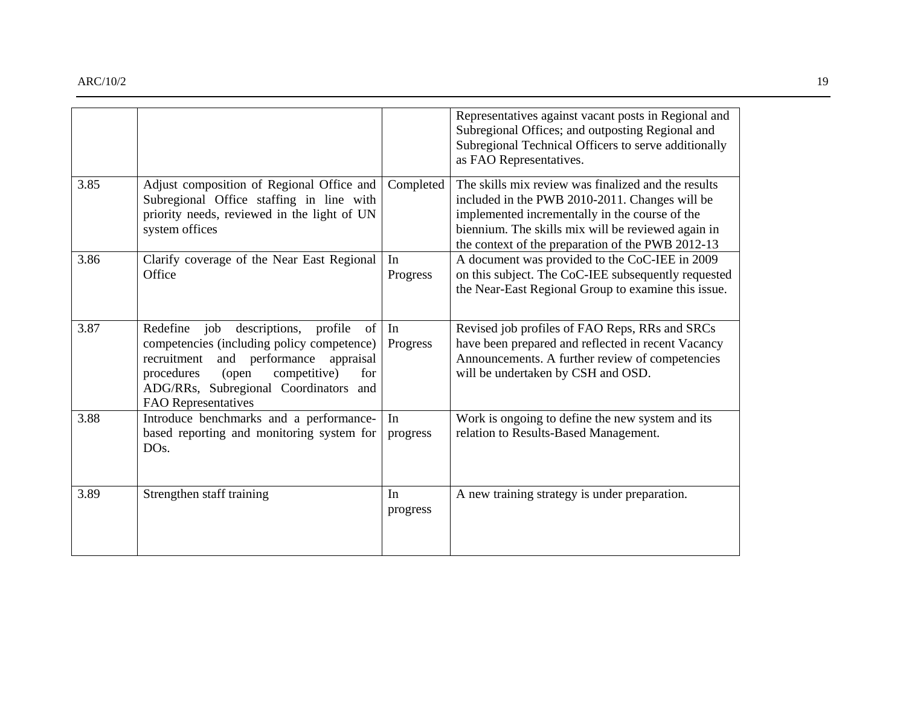|      |                                                                                                                                                                                                                                                                  |                | Representatives against vacant posts in Regional and<br>Subregional Offices; and outposting Regional and<br>Subregional Technical Officers to serve additionally<br>as FAO Representatives.                                                                        |
|------|------------------------------------------------------------------------------------------------------------------------------------------------------------------------------------------------------------------------------------------------------------------|----------------|--------------------------------------------------------------------------------------------------------------------------------------------------------------------------------------------------------------------------------------------------------------------|
| 3.85 | Adjust composition of Regional Office and<br>Subregional Office staffing in line with<br>priority needs, reviewed in the light of UN<br>system offices                                                                                                           | Completed      | The skills mix review was finalized and the results<br>included in the PWB 2010-2011. Changes will be<br>implemented incrementally in the course of the<br>biennium. The skills mix will be reviewed again in<br>the context of the preparation of the PWB 2012-13 |
| 3.86 | Clarify coverage of the Near East Regional<br>Office                                                                                                                                                                                                             | In<br>Progress | A document was provided to the CoC-IEE in 2009<br>on this subject. The CoC-IEE subsequently requested<br>the Near-East Regional Group to examine this issue.                                                                                                       |
| 3.87 | Redefine<br>descriptions, profile<br>job<br>of<br>competencies (including policy competence)<br>recruitment<br>and performance<br>appraisal<br>competitive)<br>procedures<br>for<br>(open<br>ADG/RRs, Subregional Coordinators and<br><b>FAO</b> Representatives | In<br>Progress | Revised job profiles of FAO Reps, RRs and SRCs<br>have been prepared and reflected in recent Vacancy<br>Announcements. A further review of competencies<br>will be undertaken by CSH and OSD.                                                                      |
| 3.88 | Introduce benchmarks and a performance-<br>based reporting and monitoring system for<br>DO <sub>s</sub> .                                                                                                                                                        | In<br>progress | Work is ongoing to define the new system and its<br>relation to Results-Based Management.                                                                                                                                                                          |
| 3.89 | Strengthen staff training                                                                                                                                                                                                                                        | In<br>progress | A new training strategy is under preparation.                                                                                                                                                                                                                      |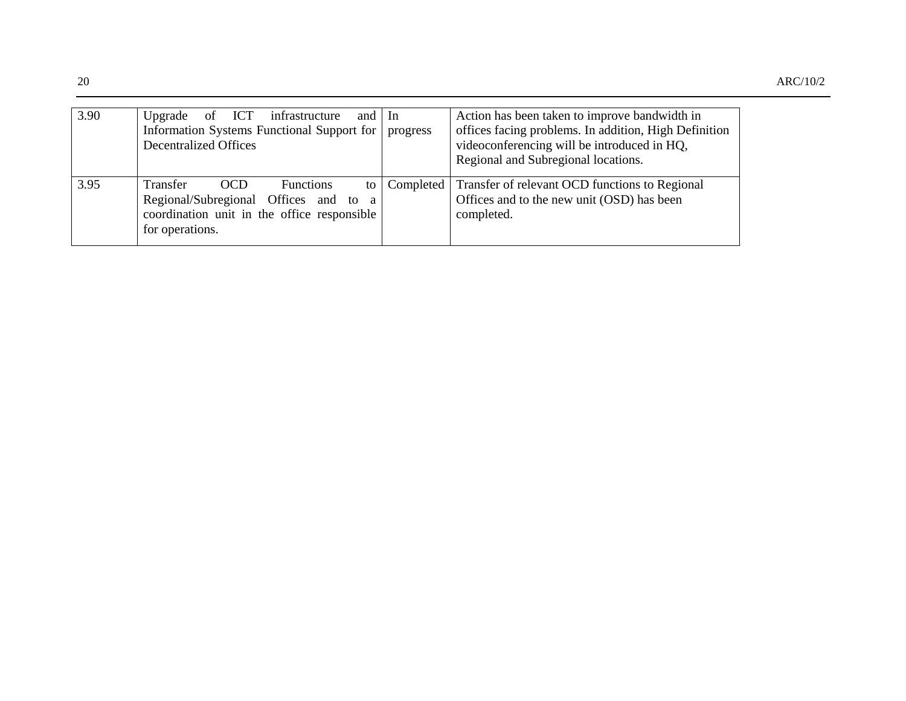| 3.90 | Upgrade of ICT infrastructure and In<br>Information Systems Functional Support for<br><b>Decentralized Offices</b>                                                 | progress  | Action has been taken to improve bandwidth in<br>offices facing problems. In addition, High Definition<br>videoconferencing will be introduced in HQ,<br>Regional and Subregional locations. |
|------|--------------------------------------------------------------------------------------------------------------------------------------------------------------------|-----------|----------------------------------------------------------------------------------------------------------------------------------------------------------------------------------------------|
| 3.95 | <b>Functions</b><br>Transfer<br>OCD<br>to<br>Regional/Subregional Offices and to<br><sub>a</sub><br>coordination unit in the office responsible<br>for operations. | Completed | Transfer of relevant OCD functions to Regional<br>Offices and to the new unit (OSD) has been<br>completed.                                                                                   |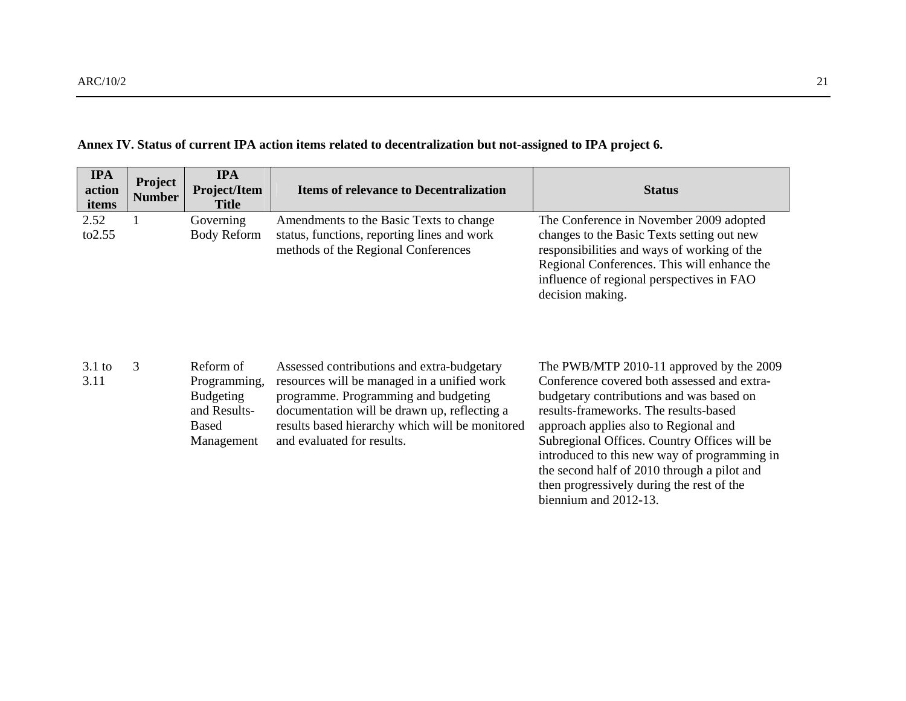| <b>IPA</b><br>action<br>items | Project<br><b>Number</b> | <b>IPA</b><br>Project/Item<br><b>Title</b>                                                  | <b>Items of relevance to Decentralization</b>                                                                                                                                                                                                                      | <b>Status</b>                                                                                                                                                                                                                                                                                                         |
|-------------------------------|--------------------------|---------------------------------------------------------------------------------------------|--------------------------------------------------------------------------------------------------------------------------------------------------------------------------------------------------------------------------------------------------------------------|-----------------------------------------------------------------------------------------------------------------------------------------------------------------------------------------------------------------------------------------------------------------------------------------------------------------------|
| 2.52<br>to 2.55               |                          | Governing<br><b>Body Reform</b>                                                             | Amendments to the Basic Texts to change<br>status, functions, reporting lines and work<br>methods of the Regional Conferences                                                                                                                                      | The Conference in November 2009 adopted<br>changes to the Basic Texts setting out new<br>responsibilities and ways of working of the<br>Regional Conferences. This will enhance the<br>influence of regional perspectives in FAO<br>decision making.                                                                  |
| $3.1$ to<br>3.11              | 3                        | Reform of<br>Programming,<br><b>Budgeting</b><br>and Results-<br><b>Based</b><br>Management | Assessed contributions and extra-budgetary<br>resources will be managed in a unified work<br>programme. Programming and budgeting<br>documentation will be drawn up, reflecting a<br>results based hierarchy which will be monitored<br>and evaluated for results. | The PWB/MTP 2010-11 approved by the 2009<br>Conference covered both assessed and extra-<br>budgetary contributions and was based on<br>results-frameworks. The results-based<br>approach applies also to Regional and<br>Subregional Offices. Country Offices will be<br>introduced to this new way of programming in |

## **Annex IV. Status of current IPA action items related to decentralization but not-assigned to IPA project 6.**

| Reform of<br>Programming,<br>Budgeting<br>and Results-<br>Based<br>Management | Assessed contributions and extra-budgetary<br>resources will be managed in a unified work<br>programme. Programming and budgeting<br>documentation will be drawn up, reflecting a<br>results based hierarchy which will be monitored<br>and evaluated for results. | The PWB/MTP 2010-11 approved by the 20<br>Conference covered both assessed and extra-<br>budgetary contributions and was based on<br>results-frameworks. The results-based<br>approach applies also to Regional and<br>Subregional Offices. Country Offices will be<br>introduced to this new way of programming<br>the second half of 2010 through a pilot and<br>then progressively during the rest of the<br>biennium and 2012-13. |
|-------------------------------------------------------------------------------|--------------------------------------------------------------------------------------------------------------------------------------------------------------------------------------------------------------------------------------------------------------------|---------------------------------------------------------------------------------------------------------------------------------------------------------------------------------------------------------------------------------------------------------------------------------------------------------------------------------------------------------------------------------------------------------------------------------------|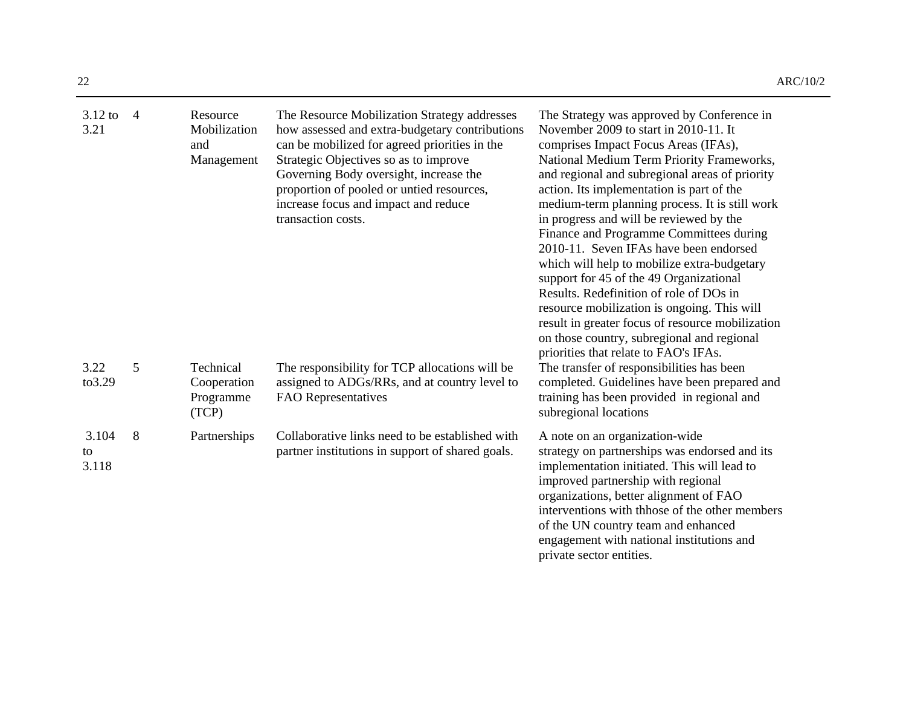| $3.12$ to<br>3.21    | $\overline{4}$ | Resource<br>Mobilization<br>and<br>Management  | The Resource Mobilization Strategy addresses<br>how assessed and extra-budgetary contributions<br>can be mobilized for agreed priorities in the<br>Strategic Objectives so as to improve<br>Governing Body oversight, increase the<br>proportion of pooled or untied resources,<br>increase focus and impact and reduce<br>transaction costs. | The Strategy was approved by Conference in<br>November 2009 to start in 2010-11. It<br>comprises Impact Focus Areas (IFAs),<br>National Medium Term Priority Frameworks,<br>and regional and subregional areas of priority<br>action. Its implementation is part of the<br>medium-term planning process. It is still work<br>in progress and will be reviewed by the<br>Finance and Programme Committees during<br>2010-11. Seven IFAs have been endorsed<br>which will help to mobilize extra-budgetary<br>support for 45 of the 49 Organizational<br>Results. Redefinition of role of DOs in<br>resource mobilization is ongoing. This will<br>result in greater focus of resource mobilization<br>on those country, subregional and regional<br>priorities that relate to FAO's IFAs. |
|----------------------|----------------|------------------------------------------------|-----------------------------------------------------------------------------------------------------------------------------------------------------------------------------------------------------------------------------------------------------------------------------------------------------------------------------------------------|------------------------------------------------------------------------------------------------------------------------------------------------------------------------------------------------------------------------------------------------------------------------------------------------------------------------------------------------------------------------------------------------------------------------------------------------------------------------------------------------------------------------------------------------------------------------------------------------------------------------------------------------------------------------------------------------------------------------------------------------------------------------------------------|
| 3.22<br>to3.29       | 5              | Technical<br>Cooperation<br>Programme<br>(TCP) | The responsibility for TCP allocations will be<br>assigned to ADGs/RRs, and at country level to<br>FAO Representatives                                                                                                                                                                                                                        | The transfer of responsibilities has been<br>completed. Guidelines have been prepared and<br>training has been provided in regional and<br>subregional locations                                                                                                                                                                                                                                                                                                                                                                                                                                                                                                                                                                                                                         |
| 3.104<br>to<br>3.118 | 8              | Partnerships                                   | Collaborative links need to be established with<br>partner institutions in support of shared goals.                                                                                                                                                                                                                                           | A note on an organization-wide<br>strategy on partnerships was endorsed and its<br>implementation initiated. This will lead to<br>improved partnership with regional<br>organizations, better alignment of FAO<br>interventions with thhose of the other members<br>of the UN country team and enhanced<br>engagement with national institutions and                                                                                                                                                                                                                                                                                                                                                                                                                                     |

private sector entities.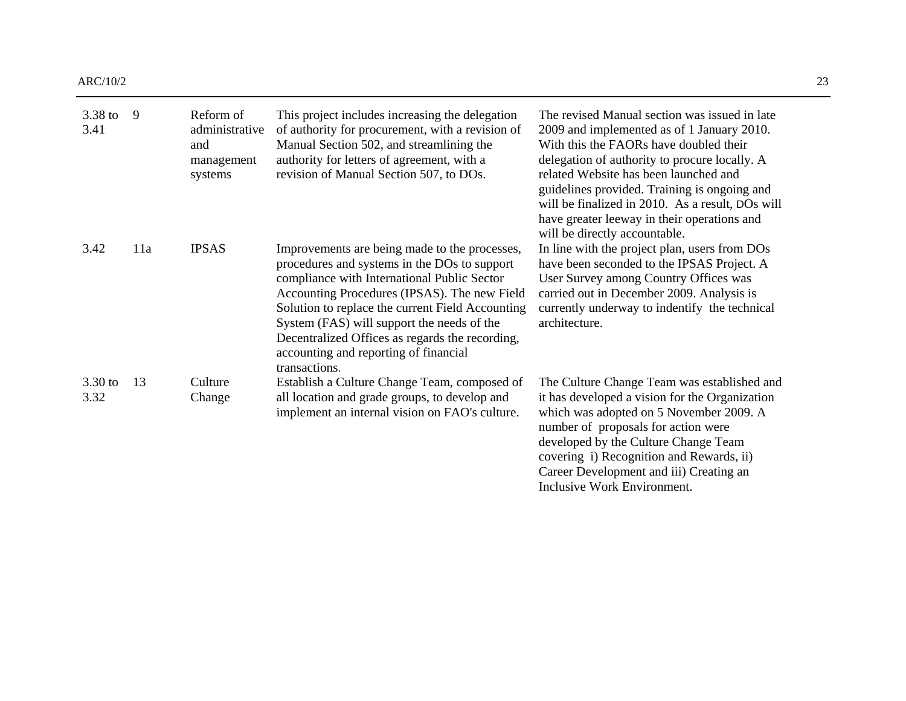| $3.38$ to<br>3.41 | 9   | Reform of<br>administrative<br>and<br>management<br>systems | This project includes increasing the delegation<br>of authority for procurement, with a revision of<br>Manual Section 502, and streamlining the<br>authority for letters of agreement, with a<br>revision of Manual Section 507, to DOs.                                                                                                                                                                    | The revised Manual section was issued in late<br>2009 and implemented as of 1 January 2010.<br>With this the FAORs have doubled their<br>delegation of authority to procure locally. A<br>related Website has been launched and<br>guidelines provided. Training is ongoing and<br>will be finalized in 2010. As a result, DOs will<br>have greater leeway in their operations and<br>will be directly accountable. |
|-------------------|-----|-------------------------------------------------------------|-------------------------------------------------------------------------------------------------------------------------------------------------------------------------------------------------------------------------------------------------------------------------------------------------------------------------------------------------------------------------------------------------------------|---------------------------------------------------------------------------------------------------------------------------------------------------------------------------------------------------------------------------------------------------------------------------------------------------------------------------------------------------------------------------------------------------------------------|
| 3.42              | 11a | <b>IPSAS</b>                                                | Improvements are being made to the processes,<br>procedures and systems in the DOs to support<br>compliance with International Public Sector<br>Accounting Procedures (IPSAS). The new Field<br>Solution to replace the current Field Accounting<br>System (FAS) will support the needs of the<br>Decentralized Offices as regards the recording,<br>accounting and reporting of financial<br>transactions. | In line with the project plan, users from DOs<br>have been seconded to the IPSAS Project. A<br>User Survey among Country Offices was<br>carried out in December 2009. Analysis is<br>currently underway to indentify the technical<br>architecture.                                                                                                                                                                 |
| 3.30 to<br>3.32   | 13  | Culture<br>Change                                           | Establish a Culture Change Team, composed of<br>all location and grade groups, to develop and<br>implement an internal vision on FAO's culture.                                                                                                                                                                                                                                                             | The Culture Change Team was established and<br>it has developed a vision for the Organization<br>which was adopted on 5 November 2009. A<br>number of proposals for action were<br>developed by the Culture Change Team<br>covering i) Recognition and Rewards, ii)<br>Career Development and iii) Creating an                                                                                                      |

Inclusive Work Environment.